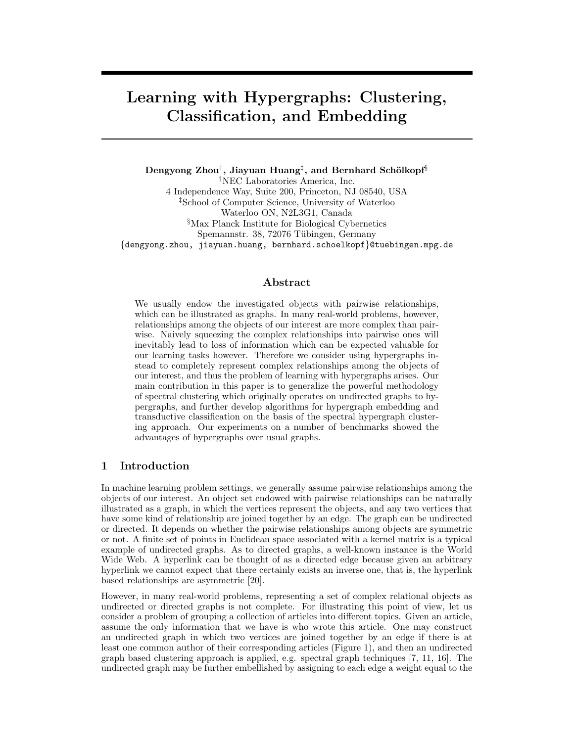# Learning with Hypergraphs: Clustering, Classification, and Embedding

 $\rm{Dengyong\ Zhou}^{\dagger},$  Jiayuan  $\rm{Huang}^{\ddagger},$  and  $\rm{Bernhard\ Sch}$ ikopf $\S$ †NEC Laboratories America, Inc. 4 Independence Way, Suite 200, Princeton, NJ 08540, USA ‡School of Computer Science, University of Waterloo Waterloo ON, N2L3G1, Canada §Max Planck Institute for Biological Cybernetics Spemannstr. 38, 72076 Tübingen, Germany {dengyong.zhou, jiayuan.huang, bernhard.schoelkopf}@tuebingen.mpg.de

#### Abstract

We usually endow the investigated objects with pairwise relationships, which can be illustrated as graphs. In many real-world problems, however, relationships among the objects of our interest are more complex than pairwise. Naively squeezing the complex relationships into pairwise ones will inevitably lead to loss of information which can be expected valuable for our learning tasks however. Therefore we consider using hypergraphs instead to completely represent complex relationships among the objects of our interest, and thus the problem of learning with hypergraphs arises. Our main contribution in this paper is to generalize the powerful methodology of spectral clustering which originally operates on undirected graphs to hypergraphs, and further develop algorithms for hypergraph embedding and transductive classification on the basis of the spectral hypergraph clustering approach. Our experiments on a number of benchmarks showed the advantages of hypergraphs over usual graphs.

# 1 Introduction

In machine learning problem settings, we generally assume pairwise relationships among the objects of our interest. An object set endowed with pairwise relationships can be naturally illustrated as a graph, in which the vertices represent the objects, and any two vertices that have some kind of relationship are joined together by an edge. The graph can be undirected or directed. It depends on whether the pairwise relationships among objects are symmetric or not. A finite set of points in Euclidean space associated with a kernel matrix is a typical example of undirected graphs. As to directed graphs, a well-known instance is the World Wide Web. A hyperlink can be thought of as a directed edge because given an arbitrary hyperlink we cannot expect that there certainly exists an inverse one, that is, the hyperlink based relationships are asymmetric [20].

However, in many real-world problems, representing a set of complex relational objects as undirected or directed graphs is not complete. For illustrating this point of view, let us consider a problem of grouping a collection of articles into different topics. Given an article, assume the only information that we have is who wrote this article. One may construct an undirected graph in which two vertices are joined together by an edge if there is at least one common author of their corresponding articles (Figure 1), and then an undirected graph based clustering approach is applied, e.g. spectral graph techniques [7, 11, 16]. The undirected graph may be further embellished by assigning to each edge a weight equal to the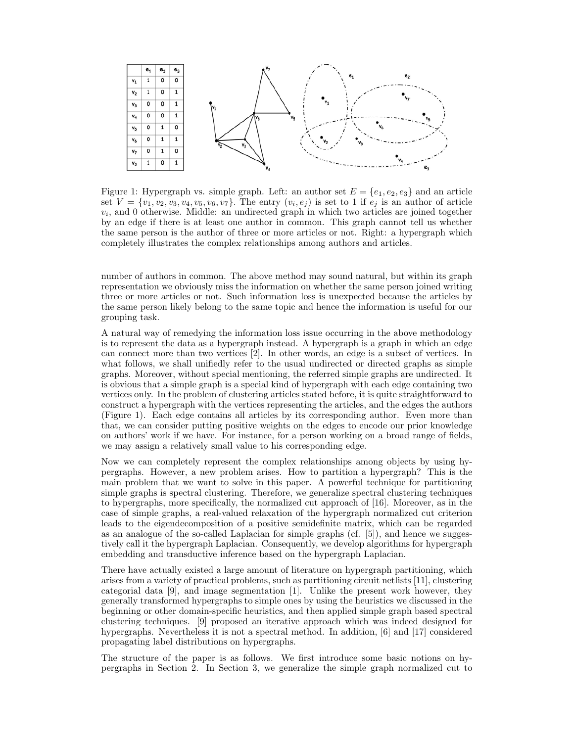

Figure 1: Hypergraph vs. simple graph. Left: an author set  $E = \{e_1, e_2, e_3\}$  and an article set  $V = \{v_1, v_2, v_3, v_4, v_5, v_6, v_7\}$ . The entry  $(v_i, e_j)$  is set to 1 if  $e_j$  is an author of article  $v_i$ , and 0 otherwise. Middle: an undirected graph in which two articles are joined together by an edge if there is at least one author in common. This graph cannot tell us whether the same person is the author of three or more articles or not. Right: a hypergraph which completely illustrates the complex relationships among authors and articles.

number of authors in common. The above method may sound natural, but within its graph representation we obviously miss the information on whether the same person joined writing three or more articles or not. Such information loss is unexpected because the articles by the same person likely belong to the same topic and hence the information is useful for our grouping task.

A natural way of remedying the information loss issue occurring in the above methodology is to represent the data as a hypergraph instead. A hypergraph is a graph in which an edge can connect more than two vertices [2]. In other words, an edge is a subset of vertices. In what follows, we shall unifiedly refer to the usual undirected or directed graphs as simple graphs. Moreover, without special mentioning, the referred simple graphs are undirected. It is obvious that a simple graph is a special kind of hypergraph with each edge containing two vertices only. In the problem of clustering articles stated before, it is quite straightforward to construct a hypergraph with the vertices representing the articles, and the edges the authors (Figure 1). Each edge contains all articles by its corresponding author. Even more than that, we can consider putting positive weights on the edges to encode our prior knowledge on authors' work if we have. For instance, for a person working on a broad range of fields, we may assign a relatively small value to his corresponding edge.

Now we can completely represent the complex relationships among objects by using hypergraphs. However, a new problem arises. How to partition a hypergraph? This is the main problem that we want to solve in this paper. A powerful technique for partitioning simple graphs is spectral clustering. Therefore, we generalize spectral clustering techniques to hypergraphs, more specifically, the normalized cut approach of [16]. Moreover, as in the case of simple graphs, a real-valued relaxation of the hypergraph normalized cut criterion leads to the eigendecomposition of a positive semidefinite matrix, which can be regarded as an analogue of the so-called Laplacian for simple graphs  $(cf. [5])$ , and hence we suggestively call it the hypergraph Laplacian. Consequently, we develop algorithms for hypergraph embedding and transductive inference based on the hypergraph Laplacian.

There have actually existed a large amount of literature on hypergraph partitioning, which arises from a variety of practical problems, such as partitioning circuit netlists [11], clustering categorial data [9], and image segmentation [1]. Unlike the present work however, they generally transformed hypergraphs to simple ones by using the heuristics we discussed in the beginning or other domain-specific heuristics, and then applied simple graph based spectral clustering techniques. [9] proposed an iterative approach which was indeed designed for hypergraphs. Nevertheless it is not a spectral method. In addition, [6] and [17] considered propagating label distributions on hypergraphs.

The structure of the paper is as follows. We first introduce some basic notions on hypergraphs in Section 2. In Section 3, we generalize the simple graph normalized cut to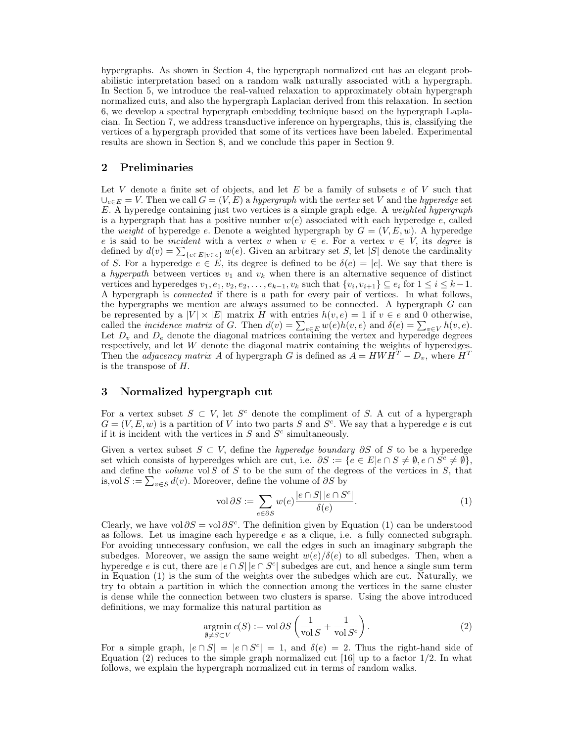hypergraphs. As shown in Section 4, the hypergraph normalized cut has an elegant probabilistic interpretation based on a random walk naturally associated with a hypergraph. In Section 5, we introduce the real-valued relaxation to approximately obtain hypergraph normalized cuts, and also the hypergraph Laplacian derived from this relaxation. In section 6, we develop a spectral hypergraph embedding technique based on the hypergraph Laplacian. In Section 7, we address transductive inference on hypergraphs, this is, classifying the vertices of a hypergraph provided that some of its vertices have been labeled. Experimental results are shown in Section 8, and we conclude this paper in Section 9.

#### 2 Preliminaries

Let V denote a finite set of objects, and let  $E$  be a family of subsets  $e$  of V such that  $\bigcup_{e \in E} = V$ . Then we call  $G = (V, E)$  a hypergraph with the vertex set V and the hyperedge set E. A hyperedge containing just two vertices is a simple graph edge. A weighted hypergraph is a hypergraph that has a positive number  $w(e)$  associated with each hyperedge e, called the weight of hyperedge e. Denote a weighted hypergraph by  $G = (V, E, w)$ . A hyperedge e is said to be *incident* with a vertex v when  $v \in e$ . For a vertex  $v \in V$ , its *degree* is e is said to be *incident* with a vertex v when  $v \in e$ . For a vertex  $v \in V$ , its *degree* is defined by  $d(v) = \sum_{\{e \in E | v \in e\}} w(e)$ . Given an arbitrary set S, let  $|S|$  denote the cardinality of S. For a hyperedge  $e \in E$ , its degree is defined to be  $\delta(e) = |e|$ . We say that there is a hyperpath between vertices  $v_1$  and  $v_k$  when there is an alternative sequence of distinct vertices and hyperedges  $v_1, e_1, v_2, e_2, \ldots, e_{k-1}, v_k$  such that  $\{v_i, v_{i+1}\} \subseteq e_i$  for  $1 \leq i \leq k-1$ . A hypergraph is connected if there is a path for every pair of vertices. In what follows, the hypergraphs we mention are always assumed to be connected. A hypergraph G can be represented by a  $|V| \times |E|$  matrix H with entries  $h(v, e) = 1$  if  $v \in e$  and 0 otherwise, be represented by a  $|V| \times |E|$  matrix H with entries  $h(v, e) = 1$  if  $v \in e$  and 0 otherwise,<br>called the *incidence matrix* of G. Then  $d(v) = \sum_{e \in E} w(e)h(v, e)$  and  $\delta(e) = \sum_{v \in V} h(v, e)$ . Let  $D_v$  and  $D_e$  denote the diagonal matrices containing the vertex and hyperedge degrees respectively, and let W denote the diagonal matrix containing the weights of hyperedges. Then the *adjacency matrix A* of hypergraph G is defined as  $\ddot{A} = HWH^T - D_v$ , where  $H^T$ is the transpose of H.

# 3 Normalized hypergraph cut

For a vertex subset  $S \subset V$ , let  $S^c$  denote the compliment of S. A cut of a hypergraph  $G = (V, E, w)$  is a partition of V into two parts S and  $S<sup>c</sup>$ . We say that a hyperedge e is cut if it is incident with the vertices in  $S$  and  $S<sup>c</sup>$  simultaneously.

Given a vertex subset  $S \subset V$ , define the *hyperedge boundary ∂S* of S to be a hyperedge set which consists of hyperedges which are cut, i.e.  $\partial S := \{e \in E | e \cap S \neq \emptyset, e \cap S^c \neq \emptyset\}$ , and define the *volume* vol  $S$  of  $S$  to be the sum of the degrees of the vertices in  $S$ , that and define the *volume* vol S of S to be the sum of the deg<br>is,vol  $S := \sum_{v \in S} d(v)$ . Moreover, define the volume of  $\partial S$  by

$$
\text{vol}\,\partial S := \sum_{e \in \partial S} w(e) \frac{|e \cap S| |e \cap S^c|}{\delta(e)}.\tag{1}
$$

Clearly, we have vol  $\partial S = \text{vol }\partial S^c$ . The definition given by Equation (1) can be understood as follows. Let us imagine each hyperedge  $e$  as a clique, i.e. a fully connected subgraph. For avoiding unnecessary confusion, we call the edges in such an imaginary subgraph the subedges. Moreover, we assign the same weight  $w(e)/\delta(e)$  to all subedges. Then, when a hyperedge e is cut, there are  $|e \cap S|$   $|e \cap S^c|$  subedges are cut, and hence a single sum term in Equation (1) is the sum of the weights over the subedges which are cut. Naturally, we try to obtain a partition in which the connection among the vertices in the same cluster is dense while the connection between two clusters is sparse. Using the above introduced definitions, we may formalize this natural partition as<br>  $argmin c(S) := vol \partial S \left( \frac{1}{-1.66} \right)$  $\mathbf{r}$ 

$$
\underset{\emptyset \neq S \subset V}{\operatorname{argmin}} c(S) := \text{vol} \, \partial S \left( \frac{1}{\text{vol } S} + \frac{1}{\text{vol } S^c} \right). \tag{2}
$$

For a simple graph,  $|e \cap S| = |e \cap S^c| = 1$ , and  $\delta(e) = 2$ . Thus the right-hand side of Equation (2) reduces to the simple graph normalized cut [16] up to a factor  $1/2$ . In what follows, we explain the hypergraph normalized cut in terms of random walks.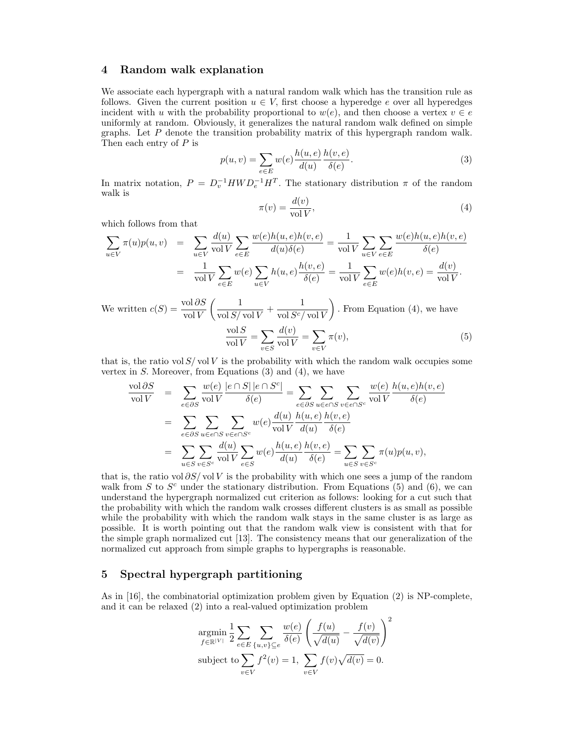#### 4 Random walk explanation

We associate each hypergraph with a natural random walk which has the transition rule as follows. Given the current position  $u \in V$ , first choose a hyperedge e over all hyperedges incident with u with the probability proportional to  $w(e)$ , and then choose a vertex  $v \in e$ uniformly at random. Obviously, it generalizes the natural random walk defined on simple graphs. Let P denote the transition probability matrix of this hypergraph random walk. Then each entry of  $P$  is

$$
p(u,v) = \sum_{e \in E} w(e) \frac{h(u,e)}{d(u)} \frac{h(v,e)}{\delta(e)}.
$$
\n(3)

In matrix notation,  $P = D_v^{-1} H W D_e^{-1} H^T$ . The stationary distribution  $\pi$  of the random walk is

$$
\pi(v) = \frac{d(v)}{\text{vol }V},\tag{4}
$$

which follows from that

$$
\sum_{u \in V} \pi(u)p(u,v) = \sum_{u \in V} \frac{d(u)}{\text{vol } V} \sum_{e \in E} \frac{w(e)h(u,e)h(v,e)}{d(u)\delta(e)} = \frac{1}{\text{vol } V} \sum_{u \in V} \sum_{e \in E} \frac{w(e)h(u,e)h(v,e)}{\delta(e)} = \frac{1}{\text{vol } V} \sum_{e \in E} w(e)h(v,e) = \frac{d(v)}{\text{vol } V}.
$$

We written  $c(S) = \frac{\text{vol}\,\partial S}{\text{vol}\,V}$  $(1)$  $\frac{1}{\text{vol }S/\text{vol }V} + \frac{1}{\text{vol }S^c/}$  $\operatorname{vol} S^c / \operatorname{vol} V$  $\mathbf{r}$ . From Equation (4), we have  $\operatorname{vol} S$  $\frac{\overline{V}^{\text{OLO}}}{\overline{V}} =$  $\overline{\phantom{a}}$ v∈S  $d(v)$  $\frac{w(v)}{\text{vol }V} =$  $\overline{\phantom{a}}$ v∈V  $\pi(v),$  (5)

that is, the ratio vol  $S/\text{vol }V$  is the probability with which the random walk occupies some vertex in  $S$ . Moreover, from Equations  $(3)$  and  $(4)$ , we have

$$
\frac{\text{vol }\partial S}{\text{vol }V} = \sum_{e \in \partial S} \frac{w(e)}{\text{vol }V} \frac{|e \cap S| |e \cap S^c|}{\delta(e)} = \sum_{e \in \partial S} \sum_{u \in e \cap S} \sum_{v \in e \cap S^c} \frac{w(e)}{\text{vol }V} \frac{h(u, e)h(v, e)}{\delta(e)}
$$

$$
= \sum_{e \in \partial S} \sum_{u \in e \cap S} \sum_{v \in e \cap S^c} w(e) \frac{d(u)}{\text{vol }V} \frac{h(u, e)}{d(u)} \frac{h(v, e)}{\delta(e)}
$$

$$
= \sum_{u \in S} \sum_{v \in S^c} \frac{d(u)}{\text{vol }V} \sum_{e \in S} w(e) \frac{h(u, e)}{d(u)} \frac{h(v, e)}{\delta(e)} = \sum_{u \in S} \sum_{v \in S^c} \pi(u)p(u, v),
$$

that is, the ratio vol  $\partial S/\partial V$  is the probability with which one sees a jump of the random walk from  $S$  to  $S<sup>c</sup>$  under the stationary distribution. From Equations (5) and (6), we can understand the hypergraph normalized cut criterion as follows: looking for a cut such that the probability with which the random walk crosses different clusters is as small as possible while the probability with which the random walk stays in the same cluster is as large as possible. It is worth pointing out that the random walk view is consistent with that for the simple graph normalized cut [13]. The consistency means that our generalization of the normalized cut approach from simple graphs to hypergraphs is reasonable.

# 5 Spectral hypergraph partitioning

As in [16], the combinatorial optimization problem given by Equation (2) is NP-complete, and it can be relaxed (2) into a real-valued optimization problem

$$
\mathop{\rm argmin}_{f \in \mathbb{R}^{|V|}} \frac{1}{2} \sum_{e \in E} \sum_{\{u,v\} \subseteq e} \frac{w(e)}{\delta(e)} \left( \frac{f(u)}{\sqrt{d(u)}} - \frac{f(v)}{\sqrt{d(v)}} \right)^2
$$
\n
$$
\text{subject to } \sum_{v \in V} f^2(v) = 1, \sum_{v \in V} f(v) \sqrt{d(v)} = 0.
$$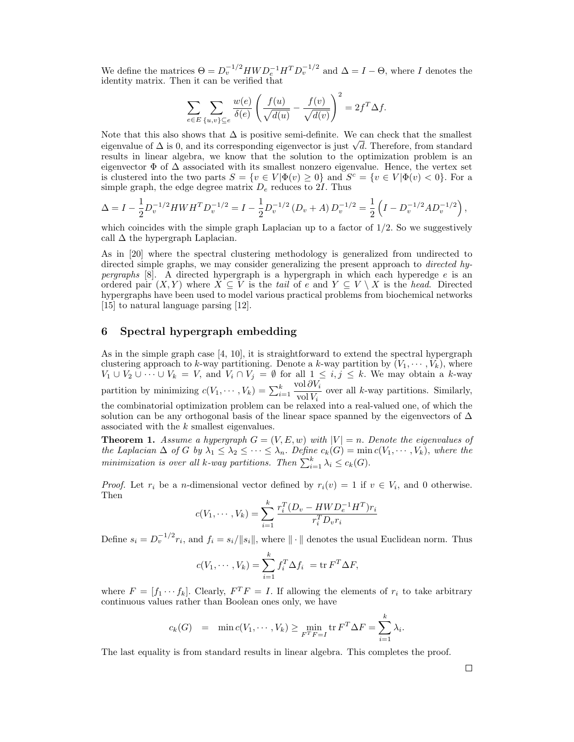We define the matrices  $\Theta = D_v^{-1/2} H W D_e^{-1} H^T D_v^{-1/2}$  and  $\Delta = I - \Theta$ , where I denotes the identity matrix. Then it can be verified that

$$
\sum_{e \in E} \sum_{\{u,v\} \subseteq e} \frac{w(e)}{\delta(e)} \left( \frac{f(u)}{\sqrt{d(u)}} - \frac{f(v)}{\sqrt{d(v)}} \right)^2 = 2f^T \Delta f.
$$

Note that this also shows that  $\Delta$  is positive semi-definite. We can check that the smallest Note that this also shows that  $\Delta$  is positive semi-definite. We can check that the smallest eigenvalue of  $\Delta$  is 0, and its corresponding eigenvector is just  $\sqrt{d}$ . Therefore, from standard results in linear algebra, we know that the solution to the optimization problem is an eigenvector  $\Phi$  of  $\Delta$  associated with its smallest nonzero eigenvalue. Hence, the vertex set is clustered into the two parts  $S = \{v \in V | \Phi(v) \geq 0\}$  and  $S^c = \{v \in V | \Phi(v) < 0\}$ . For a simple graph, the edge degree matrix  $D_e$  reduces to 2*I*. Thus

$$
\Delta = I - \frac{1}{2} D_v^{-1/2} H W H^T D_v^{-1/2} = I - \frac{1}{2} D_v^{-1/2} (D_v + A) D_v^{-1/2} = \frac{1}{2} \left( I - D_v^{-1/2} A D_v^{-1/2} \right),
$$

which coincides with the simple graph Laplacian up to a factor of  $1/2$ . So we suggestively call  $\Delta$  the hypergraph Laplacian.

As in [20] where the spectral clustering methodology is generalized from undirected to directed simple graphs, we may consider generalizing the present approach to directed hy*pergraphs* [8]. A directed hypergraph is a hypergraph in which each hyperedge e is an ordered pair  $(X, Y)$  where  $X \subseteq V$  is the tail of e and  $Y \subseteq V \setminus X$  is the head. Directed hypergraphs have been used to model various practical problems from biochemical networks [15] to natural language parsing [12].

# 6 Spectral hypergraph embedding

As in the simple graph case [4, 10], it is straightforward to extend the spectral hypergraph clustering approach to k-way partitioning. Denote a k-way partition by  $(V_1, \dots, V_k)$ , where  $V_1 \cup V_2 \cup \cdots \cup V_k = V$ , and  $V_i \cap V_j = \emptyset$  for all  $1 \leq i, j \leq k$ . We may obtain a k-way partition by minimizing  $c(V_1, \dots, V_k) = \sum_{i=1}^k$ vol  $\partial V_i$  $\frac{\partial I \circ V_i}{\partial V_i}$  over all k-way partitions. Similarly, the combinatorial optimization problem can be relaxed into a real-valued one, of which the solution can be any orthogonal basis of the linear space spanned by the eigenvectors of  $\Delta$ associated with the k smallest eigenvalues.

**Theorem 1.** Assume a hypergraph  $G = (V, E, w)$  with  $|V| = n$ . Denote the eigenvalues of the Laplacian  $\Delta$  of G by  $\lambda_1 \leq \lambda_2 \leq \cdots \leq \lambda_n$ . Define  $c_k(G) = \min c(V_1, \dots, V_k)$ , where the minimization is over all k-way partitions. Then  $\sum_{i=1}^k \lambda_i \leq c_k(G)$ .

*Proof.* Let  $r_i$  be a *n*-dimensional vector defined by  $r_i(v) = 1$  if  $v \in V_i$ , and 0 otherwise. Then

$$
c(V_1, \cdots, V_k) = \sum_{i=1}^k \frac{r_i^T (D_v - H W D_e^{-1} H^T) r_i}{r_i^T D_v r_i}
$$

Define  $s_i = D_v^{-1/2} r_i$ , and  $f_i = s_i / ||s_i||$ , where  $|| \cdot ||$  denotes the usual Euclidean norm. Thus

$$
c(V_1, \cdots, V_k) = \sum_{i=1}^k f_i^T \Delta f_i = \text{tr } F^T \Delta F,
$$

where  $F = [f_1 \cdots f_k]$ . Clearly,  $F^T F = I$ . If allowing the elements of  $r_i$  to take arbitrary continuous values rather than Boolean ones only, we have

$$
c_k(G) = \min c(V_1, \cdots, V_k) \ge \min_{F^T F = I} \text{tr } F^T \Delta F = \sum_{i=1}^k \lambda_i.
$$

The last equality is from standard results in linear algebra. This completes the proof.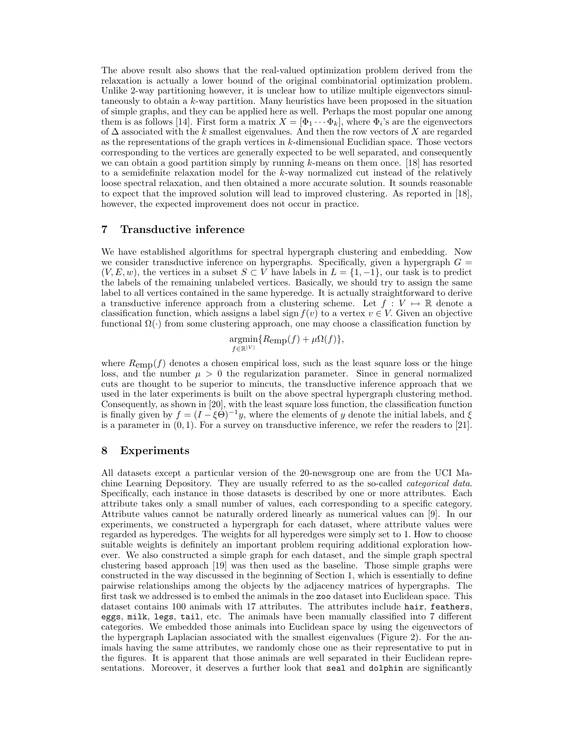The above result also shows that the real-valued optimization problem derived from the relaxation is actually a lower bound of the original combinatorial optimization problem. Unlike 2-way partitioning however, it is unclear how to utilize multiple eigenvectors simultaneously to obtain a  $k$ -way partition. Many heuristics have been proposed in the situation of simple graphs, and they can be applied here as well. Perhaps the most popular one among them is as follows [14]. First form a matrix  $X = [\Phi_1 \cdots \Phi_k]$ , where  $\Phi_i$ 's are the eigenvectors of  $\Delta$  associated with the k smallest eigenvalues. And then the row vectors of X are regarded as the representations of the graph vertices in k-dimensional Euclidian space. Those vectors corresponding to the vertices are generally expected to be well separated, and consequently we can obtain a good partition simply by running  $k$ -means on them once. [18] has resorted to a semidefinite relaxation model for the  $k$ -way normalized cut instead of the relatively loose spectral relaxation, and then obtained a more accurate solution. It sounds reasonable to expect that the improved solution will lead to improved clustering. As reported in [18], however, the expected improvement does not occur in practice.

# 7 Transductive inference

We have established algorithms for spectral hypergraph clustering and embedding. Now we consider transductive inference on hypergraphs. Specifically, given a hypergraph  $G =$  $(V, E, w)$ , the vertices in a subset  $S \subset V$  have labels in  $L = \{1, -1\}$ , our task is to predict the labels of the remaining unlabeled vertices. Basically, we should try to assign the same label to all vertices contained in the same hyperedge. It is actually straightforward to derive a transductive inference approach from a clustering scheme. Let  $f: V \mapsto \mathbb{R}$  denote a classification function, which assigns a label sign  $f(v)$  to a vertex  $v \in V$ . Given an objective functional  $\Omega(\cdot)$  from some clustering approach, one may choose a classification function by

> argmin  $\operatorname*{argmin}_{f \in \mathbb{R}^{|V|}} \{R_{\text{emp}}(f) + \mu \Omega(f)\},$

where  $R_{\text{emp}}(f)$  denotes a chosen empirical loss, such as the least square loss or the hinge loss, and the number  $\mu > 0$  the regularization parameter. Since in general normalized cuts are thought to be superior to mincuts, the transductive inference approach that we used in the later experiments is built on the above spectral hypergraph clustering method. Consequently, as shown in [20], with the least square loss function, the classification function is finally given by  $f = (I - \xi \vec{\Theta})^{-1}y$ , where the elements of y denote the initial labels, and  $\xi$ is a parameter in  $(0, 1)$ . For a survey on transductive inference, we refer the readers to [21].

# 8 Experiments

All datasets except a particular version of the 20-newsgroup one are from the UCI Machine Learning Depository. They are usually referred to as the so-called *categorical data*. Specifically, each instance in those datasets is described by one or more attributes. Each attribute takes only a small number of values, each corresponding to a specific category. Attribute values cannot be naturally ordered linearly as numerical values can [9]. In our experiments, we constructed a hypergraph for each dataset, where attribute values were regarded as hyperedges. The weights for all hyperedges were simply set to 1. How to choose suitable weights is definitely an important problem requiring additional exploration however. We also constructed a simple graph for each dataset, and the simple graph spectral clustering based approach [19] was then used as the baseline. Those simple graphs were constructed in the way discussed in the beginning of Section 1, which is essentially to define pairwise relationships among the objects by the adjacency matrices of hypergraphs. The first task we addressed is to embed the animals in the zoo dataset into Euclidean space. This dataset contains 100 animals with 17 attributes. The attributes include hair, feathers, eggs, milk, legs, tail, etc. The animals have been manually classified into 7 different categories. We embedded those animals into Euclidean space by using the eigenvectors of the hypergraph Laplacian associated with the smallest eigenvalues (Figure 2). For the animals having the same attributes, we randomly chose one as their representative to put in the figures. It is apparent that those animals are well separated in their Euclidean representations. Moreover, it deserves a further look that seal and dolphin are significantly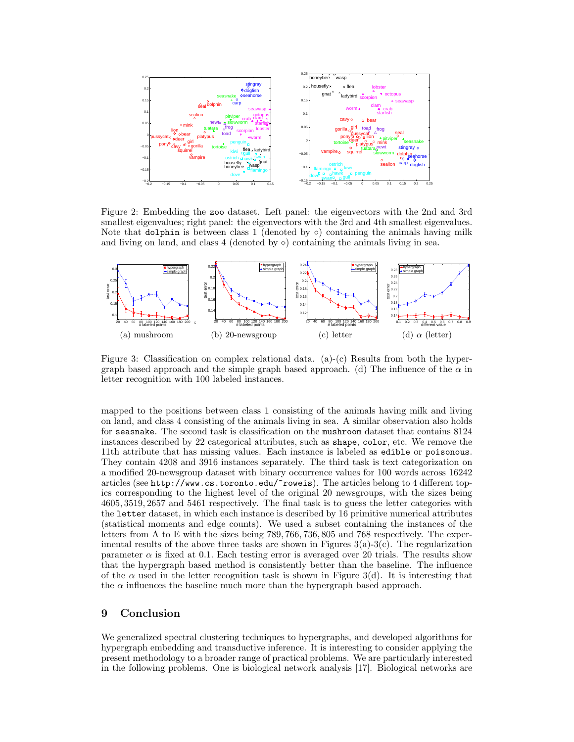

Figure 2: Embedding the zoo dataset. Left panel: the eigenvectors with the 2nd and 3rd smallest eigenvalues; right panel: the eigenvectors with the 3rd and 4th smallest eigenvalues. Note that dolphin is between class 1 (denoted by  $\circ$ ) containing the animals having milk and living on land, and class 4 (denoted by  $\diamond$ ) containing the animals living in sea.



Figure 3: Classification on complex relational data. (a)-(c) Results from both the hypergraph based approach and the simple graph based approach. (d) The influence of the  $\alpha$  in letter recognition with 100 labeled instances.

mapped to the positions between class 1 consisting of the animals having milk and living on land, and class 4 consisting of the animals living in sea. A similar observation also holds for seasnake. The second task is classification on the mushroom dataset that contains 8124 instances described by 22 categorical attributes, such as shape, color, etc. We remove the 11th attribute that has missing values. Each instance is labeled as edible or poisonous. They contain 4208 and 3916 instances separately. The third task is text categorization on a modified 20-newsgroup dataset with binary occurrence values for 100 words across 16242 articles (see http://www.cs.toronto.edu/~roweis). The articles belong to 4 different topics corresponding to the highest level of the original 20 newsgroups, with the sizes being 4605, 3519, 2657 and 5461 respectively. The final task is to guess the letter categories with the letter dataset, in which each instance is described by 16 primitive numerical attributes (statistical moments and edge counts). We used a subset containing the instances of the letters from A to E with the sizes being 789, 766, 736, 805 and 768 respectively. The experimental results of the above three tasks are shown in Figures  $3(a)-3(c)$ . The regularization parameter  $\alpha$  is fixed at 0.1. Each testing error is averaged over 20 trials. The results show that the hypergraph based method is consistently better than the baseline. The influence of the  $\alpha$  used in the letter recognition task is shown in Figure 3(d). It is interesting that the  $\alpha$  influences the baseline much more than the hypergraph based approach.

# 9 Conclusion

We generalized spectral clustering techniques to hypergraphs, and developed algorithms for hypergraph embedding and transductive inference. It is interesting to consider applying the present methodology to a broader range of practical problems. We are particularly interested in the following problems. One is biological network analysis [17]. Biological networks are